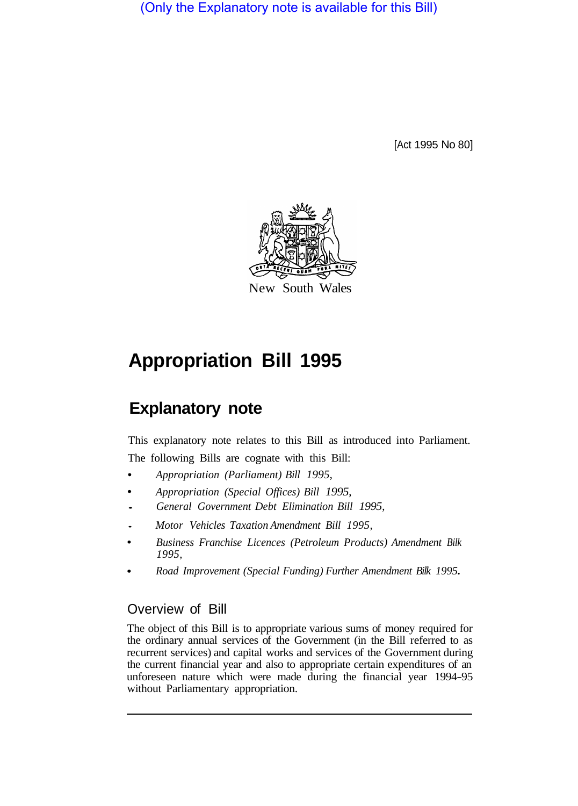(Only the Explanatory note is available for this Bill)

[Act 1995 No 80]



# **Appropriation Bill 1995**

# **Explanatory note**

This explanatory note relates to this Bill as introduced into Parliament. The following Bills are cognate with this Bill:

- *Appropriation (Parliament) Bill 1995,*
- *Appropriation (Special Offices) Bill 1995,*
- *General Government Debt Elimination Bill 1995,*
- *Motor Vehicles Taxation Amendment Bill 1995,*
- *Business Franchise Licences (Petroleum Products) Amendment Bilk 1995,*
- *Road Improvement (Special Funding) Further Amendment Bilk 1995.*

### Overview of Bill

The object of this Bill is to appropriate various sums of money required for the ordinary annual services of the Government (in the Bill referred to as recurrent services) and capital works and services of the Government during the current financial year and also to appropriate certain expenditures of an unforeseen nature which were made during the financial year 1994-95 without Parliamentary appropriation.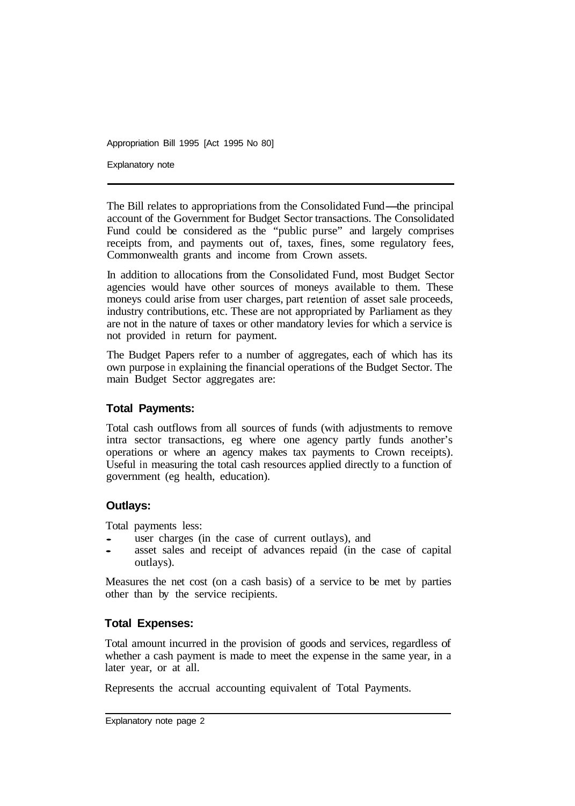Explanatory note

The Bill relates to appropriations from the Consolidated Fund—the principal account of the Government for Budget Sector transactions. The Consolidated Fund could be considered as the "public purse" and largely comprises receipts from, and payments out of, taxes, fines, some regulatory fees, Commonwealth grants and income from Crown assets.

In addition to allocations from the Consolidated Fund, most Budget Sector agencies would have other sources of moneys available to them. These moneys could arise from user charges, part retention of asset sale proceeds, industry contributions, etc. These are not appropriated by Parliament as they are not in the nature of taxes or other mandatory levies for which a service is not provided in return for payment.

The Budget Papers refer to a number of aggregates, each of which has its own purpose in explaining the financial operations of the Budget Sector. The main Budget Sector aggregates are:

#### **Total Payments:**

Total cash outflows from all sources of funds (with adjustments to remove intra sector transactions, eg where one agency partly funds another's operations or where an agency makes tax payments to Crown receipts). Useful in measuring the total cash resources applied directly to a function of government (eg health, education).

#### **Outlays:**

Total payments less:

- user charges (in the case of current outlays), and
- asset sales and receipt of advances repaid (in the case of capital outlays).

Measures the net cost (on a cash basis) of a service to be met by parties other than by the service recipients.

#### **Total Expenses:**

Total amount incurred in the provision of goods and services, regardless of whether a cash payment is made to meet the expense in the same year, in a later year, or at all.

Represents the accrual accounting equivalent of Total Payments.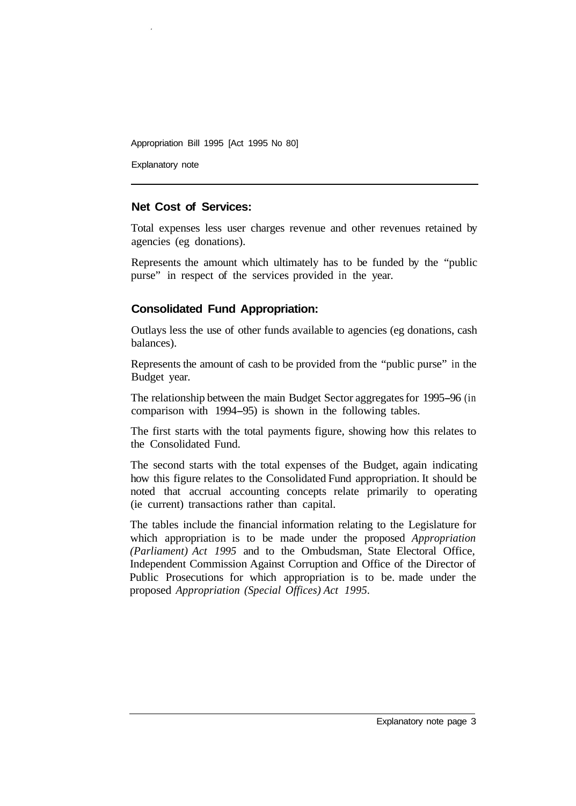Explanatory note

#### **Net Cost of Services:**

Total expenses less user charges revenue and other revenues retained by agencies (eg donations).

Represents the amount which ultimately has to be funded by the "public purse" in respect of the services provided in the year.

#### **Consolidated Fund Appropriation:**

Outlays less the use of other funds available to agencies (eg donations, cash balances).

Represents the amount of cash to be provided from the "public purse" in the Budget year.

The relationship between the main Budget Sector aggregates for 1995-96 (in comparison with 1994-95) is shown in the following tables.

The first starts with the total payments figure, showing how this relates to the Consolidated Fund.

The second starts with the total expenses of the Budget, again indicating how this figure relates to the Consolidated Fund appropriation. It should be noted that accrual accounting concepts relate primarily to operating (ie current) transactions rather than capital.

The tables include the financial information relating to the Legislature for which appropriation is to be made under the proposed *Appropriation (Parliament) Act 1995* and to the Ombudsman, State Electoral Office, Independent Commission Against Corruption and Office of the Director of Public Prosecutions for which appropriation is to be. made under the proposed *Appropriation (Special Offices) Act 1995.*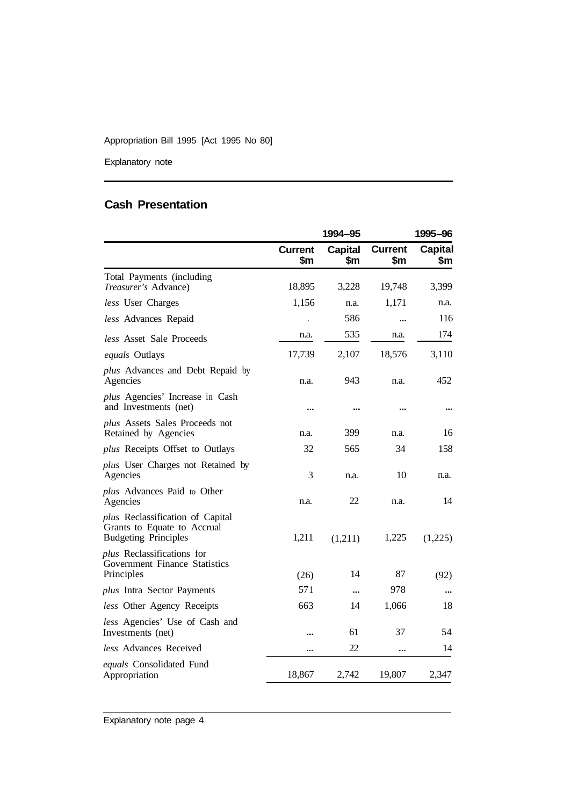Explanatory note

## **Cash Presentation**

|                                                                                                |                       | 1994–95               |                       | 1995-96               |
|------------------------------------------------------------------------------------------------|-----------------------|-----------------------|-----------------------|-----------------------|
|                                                                                                | <b>Current</b><br>\$m | <b>Capital</b><br>\$m | <b>Current</b><br>\$m | <b>Capital</b><br>\$m |
| Total Payments (including<br>Treasurer's Advance)                                              | 18,895                | 3,228                 | 19,748                | 3,399                 |
| less User Charges                                                                              | 1,156                 | n.a.                  | 1,171                 | n.a.                  |
| less Advances Repaid                                                                           | b.                    | 586                   |                       | 116                   |
| less Asset Sale Proceeds                                                                       | n.a.                  | 535                   | n.a.                  | 174                   |
| equals Outlays                                                                                 | 17,739                | 2,107                 | 18,576                | 3,110                 |
| <i>plus</i> Advances and Debt Repaid by<br>Agencies                                            | n.a.                  | 943                   | n.a.                  | 452                   |
| plus Agencies' Increase in Cash<br>and Investments (net)                                       |                       | --                    |                       |                       |
| plus Assets Sales Proceeds not<br>Retained by Agencies                                         | n.a.                  | 399                   | n.a.                  | 16                    |
| plus Receipts Offset to Outlays                                                                | 32                    | 565                   | 34                    | 158                   |
| <i>plus</i> User Charges not Retained by<br>Agencies                                           | 3                     | n.a.                  | 10                    | n.a.                  |
| plus Advances Paid to Other<br>Agencies                                                        | n.a.                  | 22                    | n.a.                  | 14                    |
| plus Reclassification of Capital<br>Grants to Equate to Accrual<br><b>Budgeting Principles</b> | 1,211                 | (1,211)               | 1,225                 | (1,225)               |
| plus Reclassifications for<br>Government Finance Statistics<br>Principles                      | (26)                  | 14                    | 87                    | (92)                  |
| <i>plus</i> Intra Sector Payments                                                              | 571                   |                       | 978                   |                       |
| less Other Agency Receipts                                                                     | 663                   | 14                    | 1,066                 | 18                    |
| less Agencies' Use of Cash and<br>Investments (net)                                            |                       | 61                    | 37                    | 54                    |
| <i>less</i> Advances Received                                                                  |                       | 22                    |                       | 14                    |
| equals Consolidated Fund<br>Appropriation                                                      | 18,867                | 2,742                 | 19,807                | 2,347                 |

Explanatory note page 4